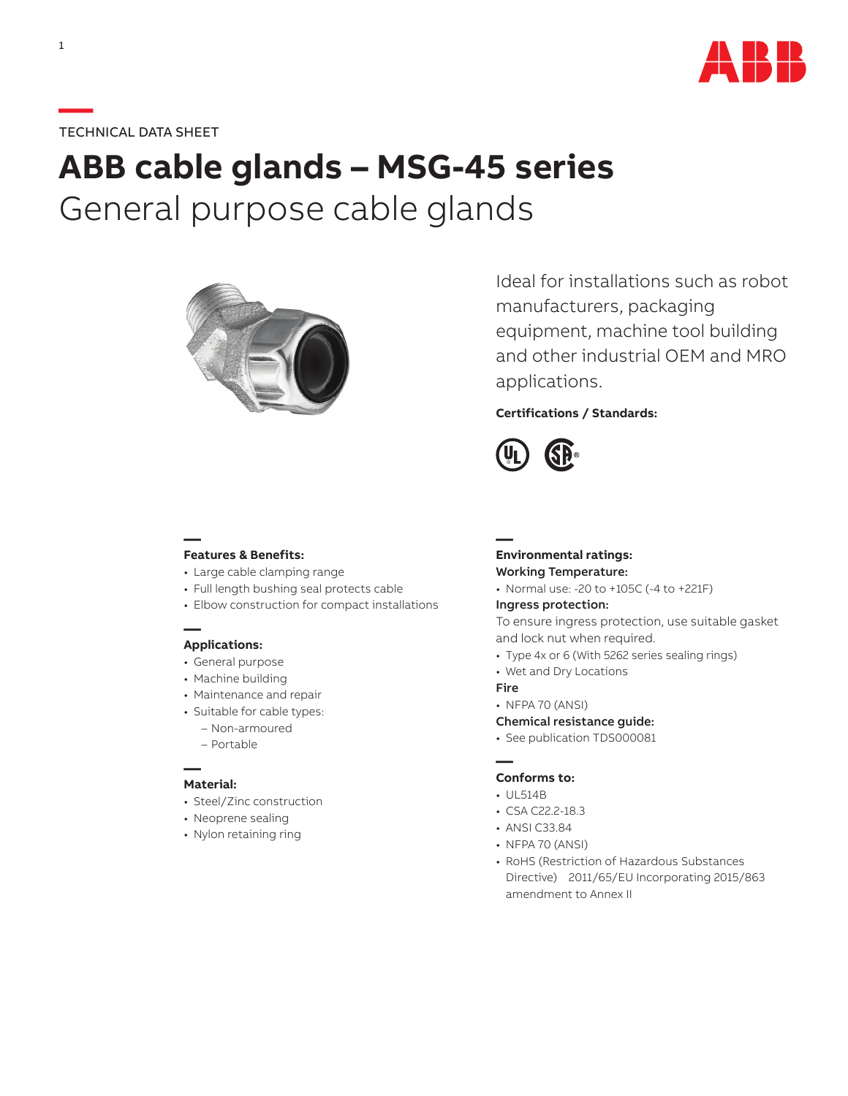

# **—**TECHNICAL DATA SHEET

# **ABB cable glands – MSG-45 series** General purpose cable glands



Ideal for installations such as robot manufacturers, packaging equipment, machine tool building and other industrial OEM and MRO applications.

## **Certifications / Standards:**



### **— Features & Benefits:**

- Large cable clamping range
- Full length bushing seal protects cable
- Elbow construction for compact installations

### **— Applications:**

- General purpose
- Machine building
- Maintenance and repair
- Suitable for cable types:
	- Non-armoured
	- Portable

#### **— Material:**

- Steel/Zinc construction
- Neoprene sealing
- Nylon retaining ring

#### **Environmental ratings:** Working Temperature:

• Normal use: -20 to +105C (-4 to +221F)

#### Ingress protection:

To ensure ingress protection, use suitable gasket and lock nut when required.

- Type 4x or 6 (With 5262 series sealing rings)
- Wet and Dry Locations

#### Fire

**—**

• NFPA 70 (ANSI)

#### Chemical resistance guide:

• See publication TDS000081

#### **— Conforms to:**

- UL514B
- CSA C22.2-18.3
- ANSI C33.84
- NFPA 70 (ANSI)
- RoHS (Restriction of Hazardous Substances Directive) 2011/65/EU Incorporating 2015/863 amendment to Annex II